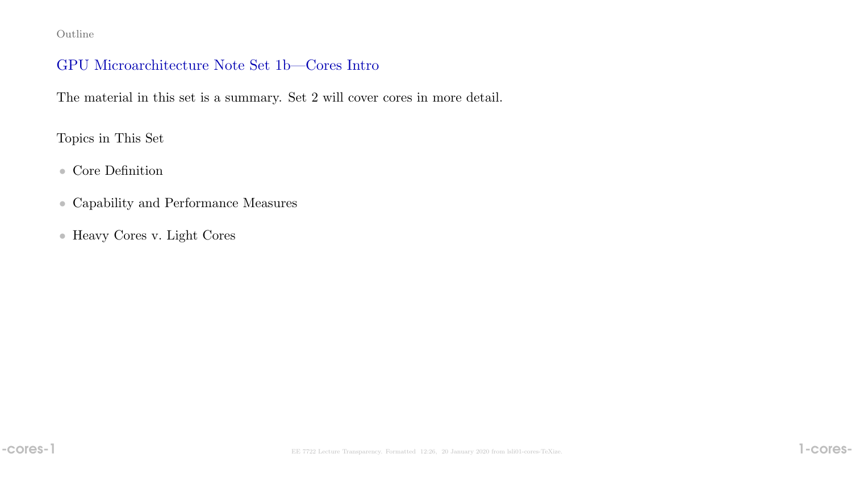Outline

### GPU Microarchitecture Note Set 1b—Cores Intro

The material in this set is a summary. Set 2 will cover cores in more detail.

Topics in This Set

#### • Core Definition

- Capability and Performance Measures
- Heavy Cores v. Light Cores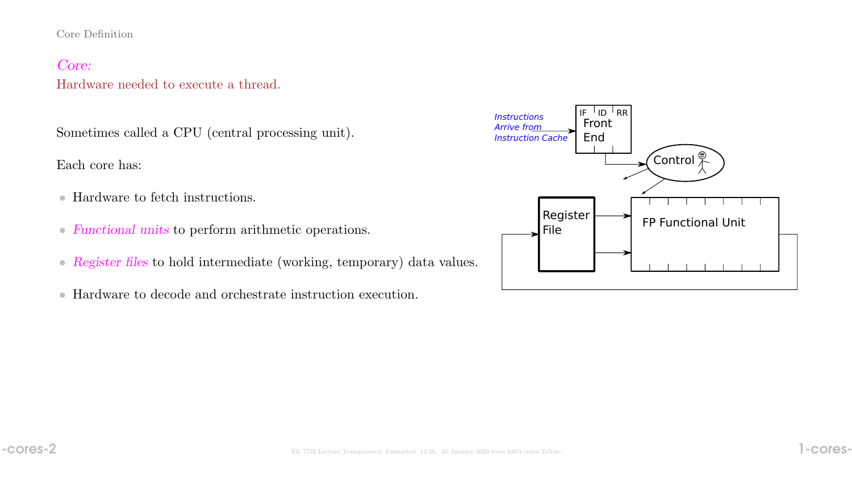#### Core Definition

## Core:

### Hardware needed to execute a thread.

Sometimes called a CPU (central processing unit).

Each core has:

- Hardware to fetch instructions.
- Functional units to perform arithmetic operations.
- Register files to hold intermediate (working, temporary) data values.
- Hardware to decode and orchestrate instruction execution.

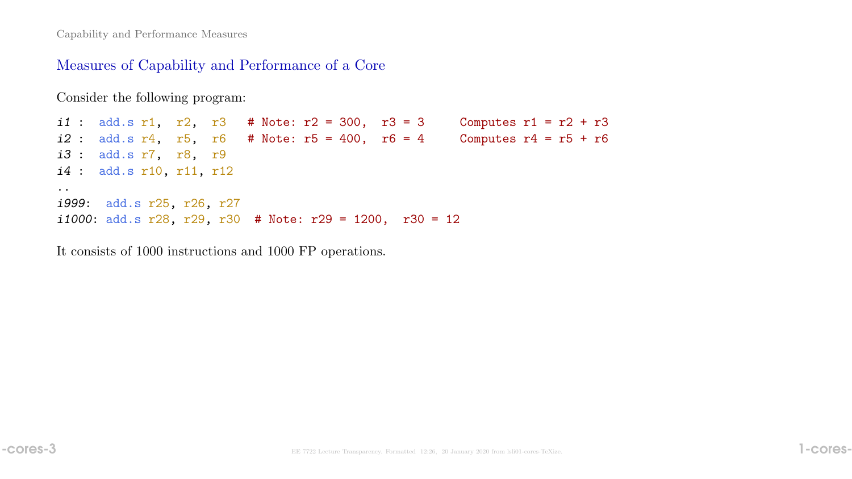Capability and Performance Measures

#### Measures of Capability and Performance of a Core

Consider the following program:

i1 : add.s r1, r2, r3 # Note:  $r2 = 300$ , r3 = 3 Computes r1 = r2 + r3  $i2$  : add.s r4, r5, r6 # Note: r5 = 400, r6 = 4 Computes r4 = r5 + r6 i3 : add.s r7, r8, r9 i4 : add.s r10, r11, r12 .. i999: add.s r25, r26, r27 i1000: add.s r28, r29, r30 # Note: r29 = 1200, r30 = 12

It consists of 1000 instructions and 1000 FP operations.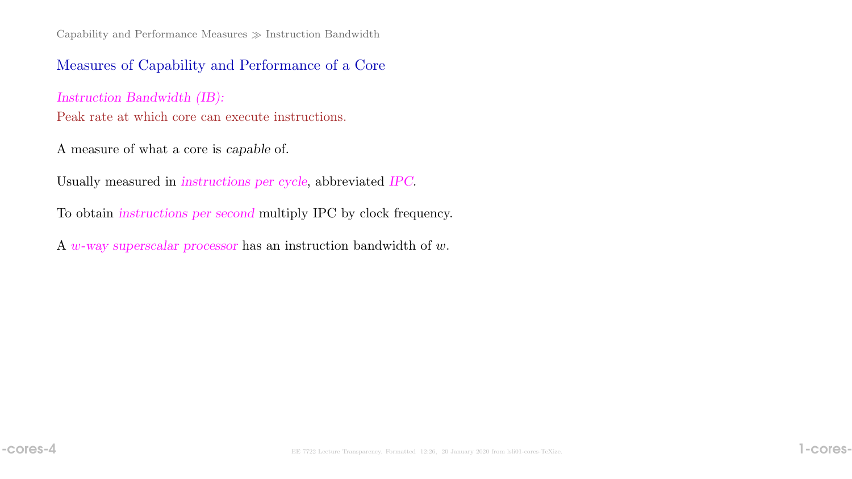Capability and Performance Measures  $\gg$  Instruction Bandwidth

#### Measures of Capability and Performance of a Core

Instruction Bandwidth (IB): Peak rate at which core can execute instructions.

A measure of what a core is capable of.

Usually measured in instructions per cycle, abbreviated IPC.

To obtain instructions per second multiply IPC by clock frequency.

A  $w$ -way superscalar processor has an instruction bandwidth of  $w$ .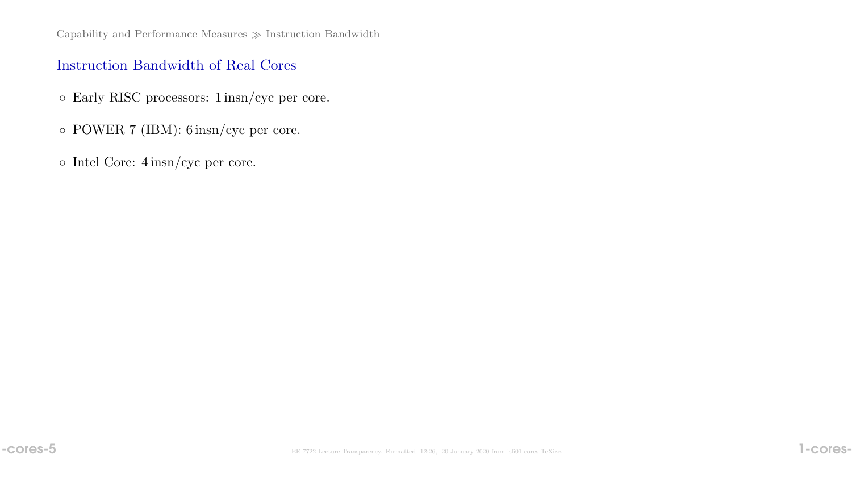## Instruction Bandwidth of Real Cores

- Early RISC processors: 1 insn/cyc per core.
- POWER 7 (IBM): 6 insn/cyc per core.
- Intel Core: 4 insn/cyc per core.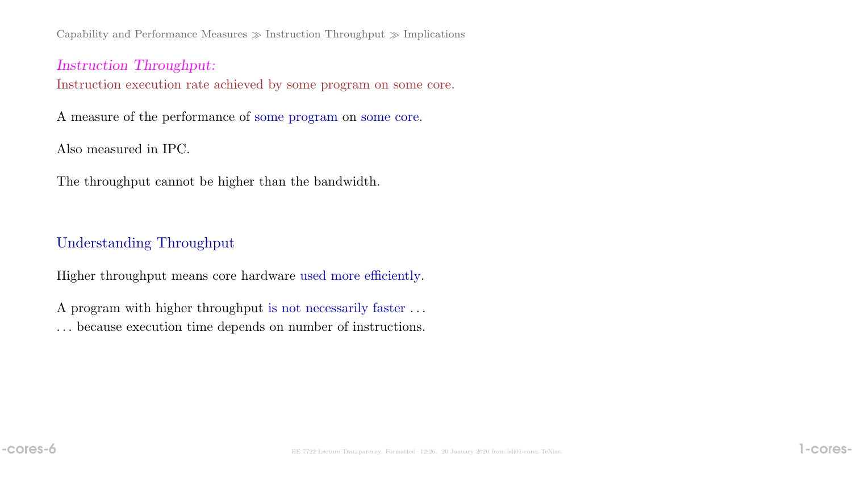Capability and Performance Measures  $\gg$  Instruction Throughput  $\gg$  Implications

Instruction Throughput: Instruction execution rate achieved by some program on some core.

A measure of the performance of some program on some core.

Also measured in IPC.

The throughput cannot be higher than the bandwidth.

## Understanding Throughput

Higher throughput means core hardware used more efficiently.

A program with higher throughput is not necessarily faster . . . . . . because execution time depends on number of instructions.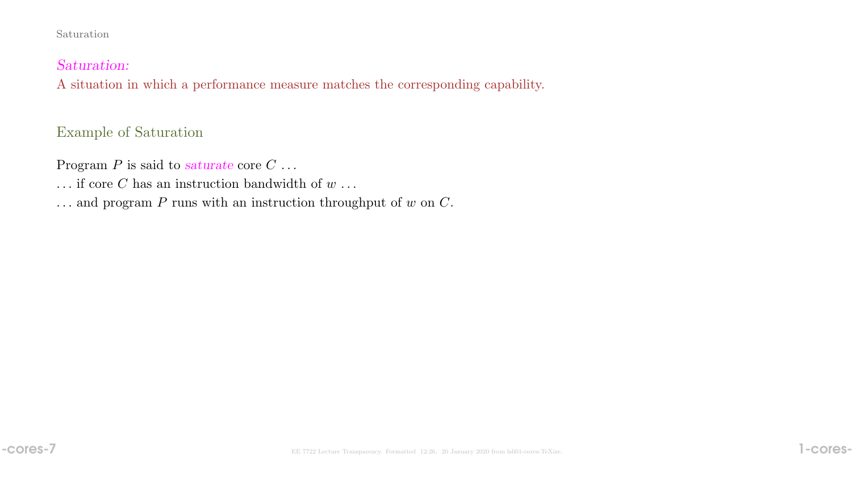#### Saturation

#### Saturation:

A situation in which a performance measure matches the corresponding capability.

# Example of Saturation

Program  $P$  is said to saturate core  $C \ldots$ 

- ... if core  $C$  has an instruction bandwidth of  $w$ ...
- ... and program  $P$  runs with an instruction throughput of  $w$  on  $C$ .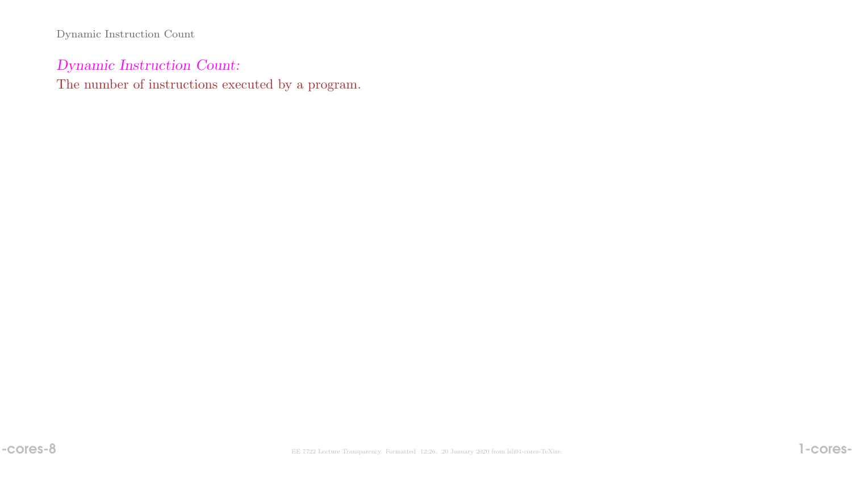Dynamic Instruction Count

# Dynamic Instruction Count:

The number of instructions executed by a program.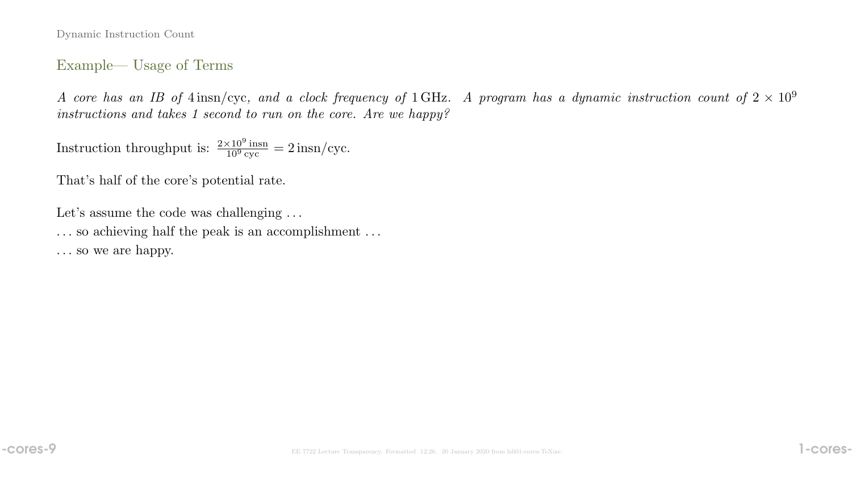Dynamic Instruction Count

#### Example— Usage of Terms

A core has an IB of  $4 \text{ insn/cyc}$ , and a clock frequency of 1 GHz. A program has a dynamic instruction count of  $2 \times 10^9$ instructions and takes 1 second to run on the core. Are we happy?

Instruction throughput is:  $\frac{2\times10^9 \text{insn}}{10^9 \text{cyc}}$  $\frac{\times 10^9 \text{ msn}}{10^9 \text{ cyc}} = 2 \text{ insn/cyc}.$ 

That's half of the core's potential rate.

Let's assume the code was challenging ...

. . . so achieving half the peak is an accomplishment . . .

. . . so we are happy.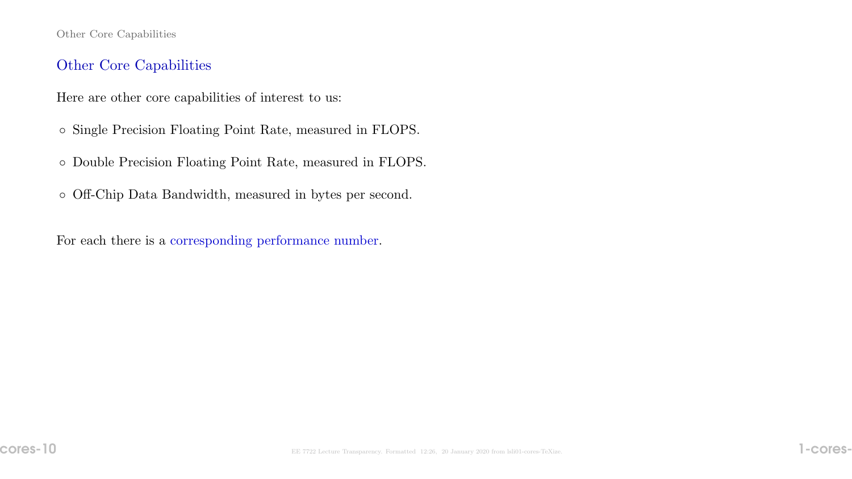#### Other Core Capabilities

# Other Core Capabilities

Here are other core capabilities of interest to us:

- Single Precision Floating Point Rate, measured in FLOPS.
- Double Precision Floating Point Rate, measured in FLOPS.

◦ Off-Chip Data Bandwidth, measured in bytes per second.

For each there is a corresponding performance number.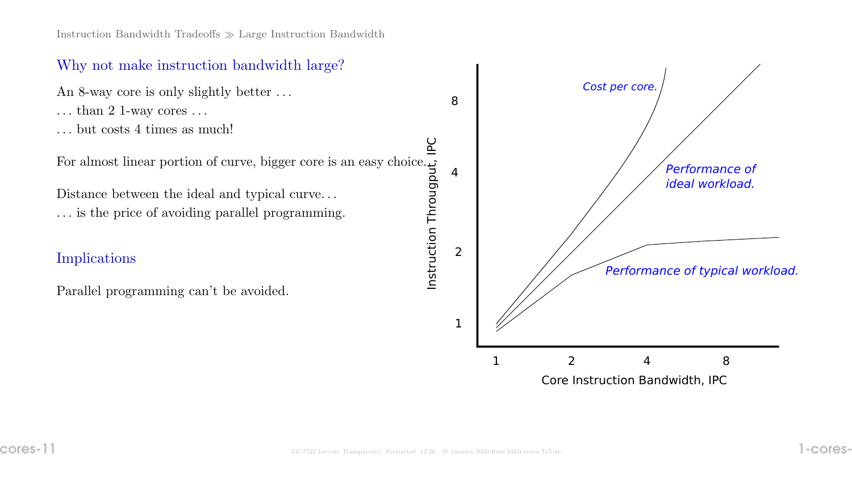# Why not make instruction bandwidth large?

An 8-way core is only slightly better . . .

- $\dots$  than 2 1-way cores  $\dots$
- . . . but costs 4 times as much!

For almost linear portion of curve, bigger core is an easy choice.

Distance between the ideal and typical curve. . . . . . is the price of avoiding parallel programming.

### Implications

Parallel programming can't be avoided.

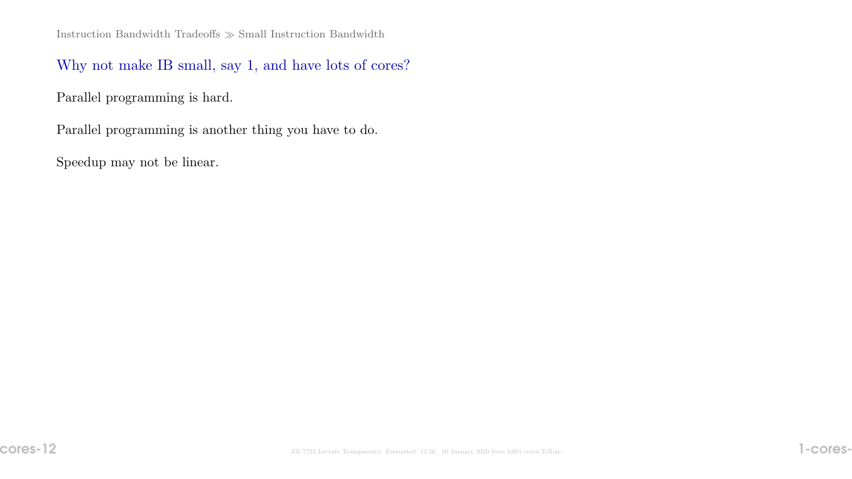Instruction Bandwidth Tradeoffs  $\gg$  Small Instruction Bandwidth

Why not make IB small, say 1, and have lots of cores?

Parallel programming is hard.

Parallel programming is another thing you have to do.

Speedup may not be linear.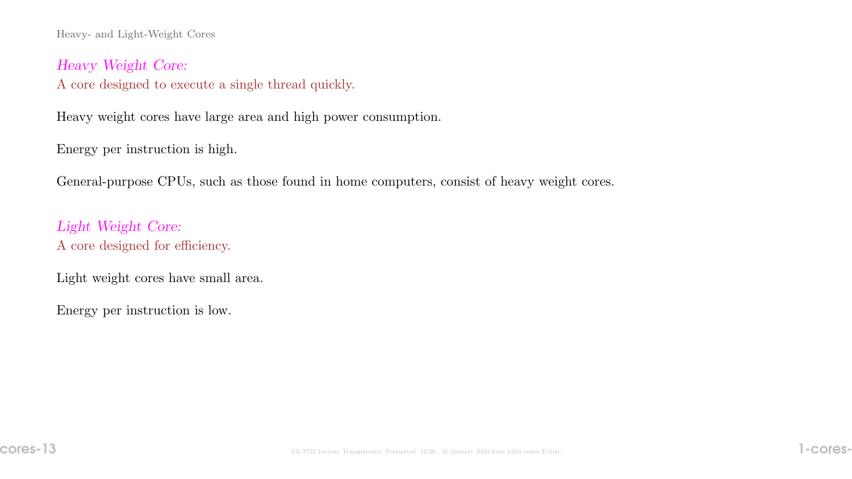Heavy- and Light-Weight Cores

Heavy Weight Core:

A core designed to execute a single thread quickly.

Heavy weight cores have large area and high power consumption.

Energy per instruction is high.

General-purpose CPUs, such as those found in home computers, consist of heavy weight cores.

Light Weight Core: A core designed for efficiency.

Light weight cores have small area.

Energy per instruction is low.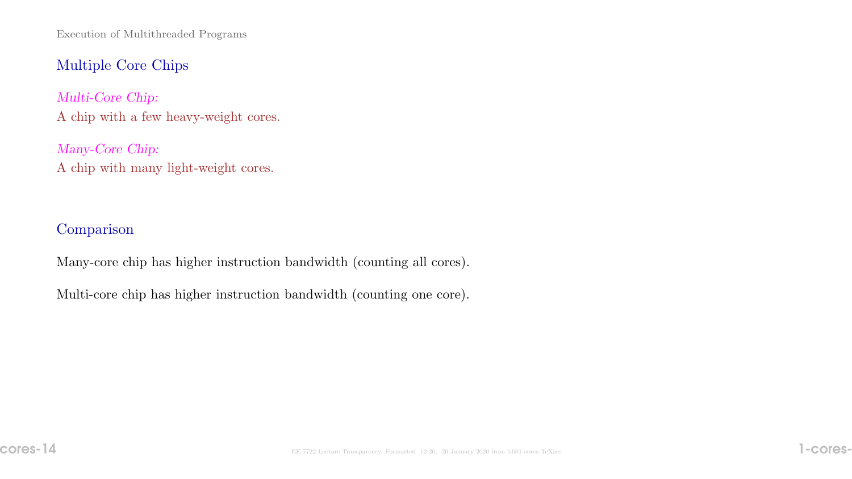Execution of Multithreaded Programs

## Multiple Core Chips

Multi-Core Chip: A chip with a few heavy-weight cores.

Many-Core Chip: A chip with many light-weight cores.

## **Comparison**

Many-core chip has higher instruction bandwidth (counting all cores).

Multi-core chip has higher instruction bandwidth (counting one core).